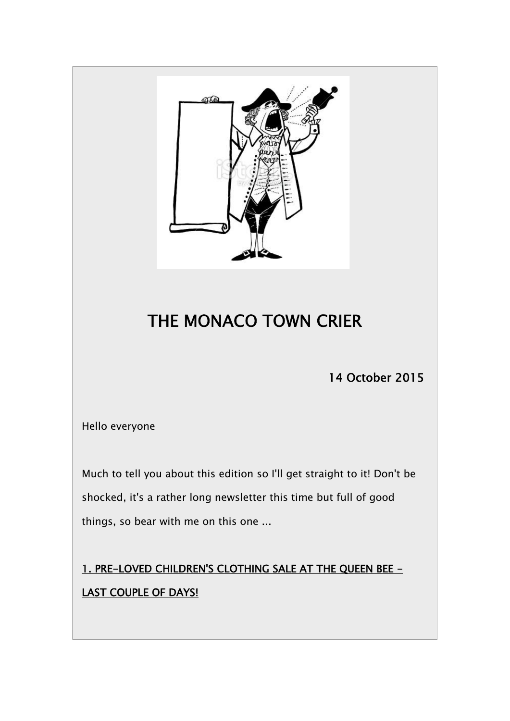

## **THE MONACO TOWN CRIER**

**14 October 2015**

Hello everyone

Much to tell you about this edition so I'll get straight to it! Don't be shocked, it's a rather long newsletter this time but full of good things, so bear with me on this one ...

**1. PRE-LOVED CHILDREN'S CLOTHING SALE AT THE QUEEN BEE - LAST COUPLE OF DAYS!**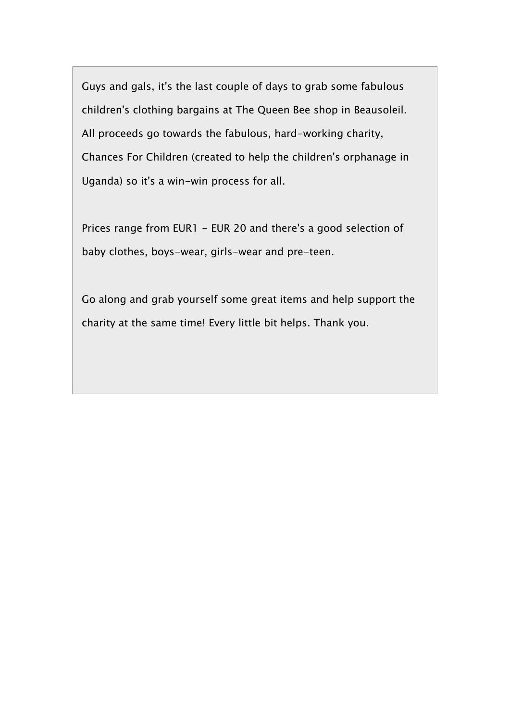Guys and gals, it's the last couple of days to grab some fabulous children's clothing bargains at The Queen Bee shop in Beausoleil. All proceeds go towards the fabulous, hard-working charity, Chances For Children (created to help the children's orphanage in Uganda) so it's a win-win process for all.

Prices range from EUR1 - EUR 20 and there's a good selection of baby clothes, boys-wear, girls-wear and pre-teen.

Go along and grab yourself some great items and help support the charity at the same time! Every little bit helps. Thank you.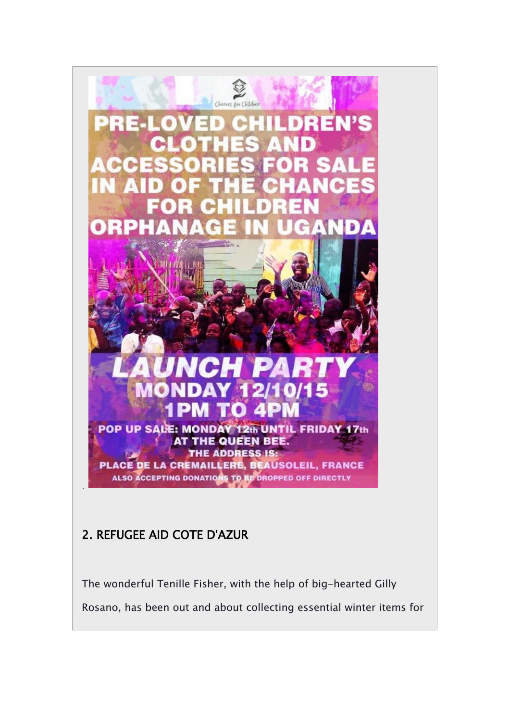

#### **2. REFUGEE AID COTE D'AZUR**

The wonderful Tenille Fisher, with the help of big-hearted Gilly Rosano, has been out and about collecting essential winter items for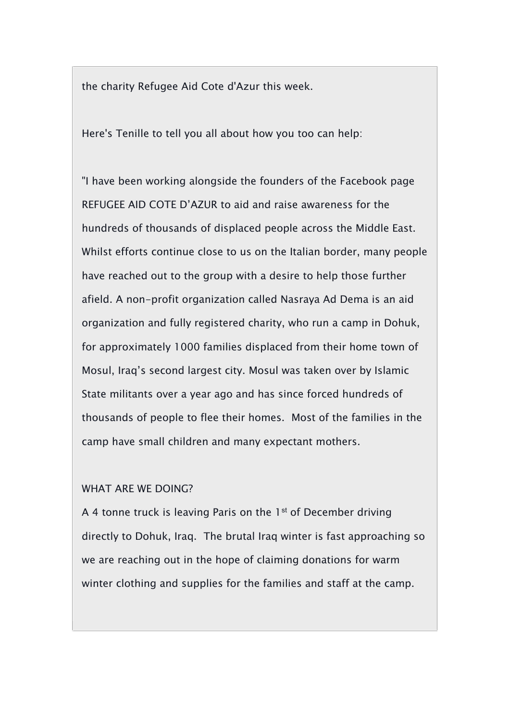the charity Refugee Aid Cote d'Azur this week.

Here's Tenille to tell you all about how you too can help:

"I have been working alongside the founders of the Facebook page REFUGEE AID COTE D'AZUR to aid and raise awareness for the hundreds of thousands of displaced people across the Middle East. Whilst efforts continue close to us on the Italian border, many people have reached out to the group with a desire to help those further afield. A non-profit organization called Nasraya Ad Dema is an aid organization and fully registered charity, who run a camp in Dohuk, for approximately 1000 families displaced from their home town of Mosul, Iraq's second largest city. Mosul was taken over by Islamic State militants over a year ago and has since forced hundreds of thousands of people to flee their homes. Most of the families in the camp have small children and many expectant mothers.

#### WHAT ARE WE DOING?

A 4 tonne truck is leaving Paris on the  $1<sup>st</sup>$  of December driving directly to Dohuk, Iraq. The brutal Iraq winter is fast approaching so we are reaching out in the hope of claiming donations for warm winter clothing and supplies for the families and staff at the camp.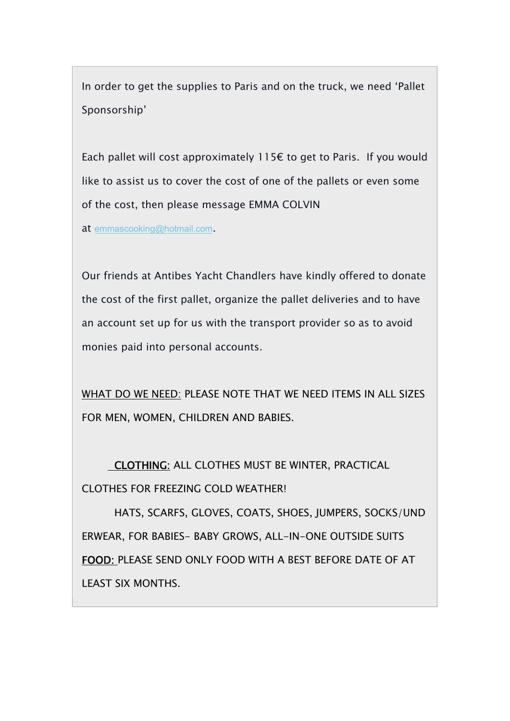In order to get the supplies to Paris and on the truck, we need 'Pallet Sponsorship'

Each pallet will cost approximately 115 $\epsilon$  to get to Paris. If you would like to assist us to cover the cost of one of the pallets or even some of the cost, then please message EMMA COLVIN

at emmascooking@hotmail.com.

Our friends at Antibes Yacht Chandlers have kindly offered to donate the cost of the first pallet, organize the pallet deliveries and to have an account set up for us with the transport provider so as to avoid monies paid into personal accounts.

WHAT DO WE NEED: PLEASE NOTE THAT WE NEED ITEMS IN ALL SIZES FOR MEN, WOMEN, CHILDREN AND BABIES.

**CLOTHING:** ALL CLOTHES MUST BE WINTER, PRACTICAL CLOTHES FOR FREEZING COLD WEATHER!

HATS, SCARFS, GLOVES, COATS, SHOES, JUMPERS, SOCKS/UND ERWEAR, FOR BABIES- BABY GROWS, ALL-IN-ONE OUTSIDE SUITS **FOOD:** PLEASE SEND ONLY FOOD WITH A BEST BEFORE DATE OF AT LEAST SIX MONTHS.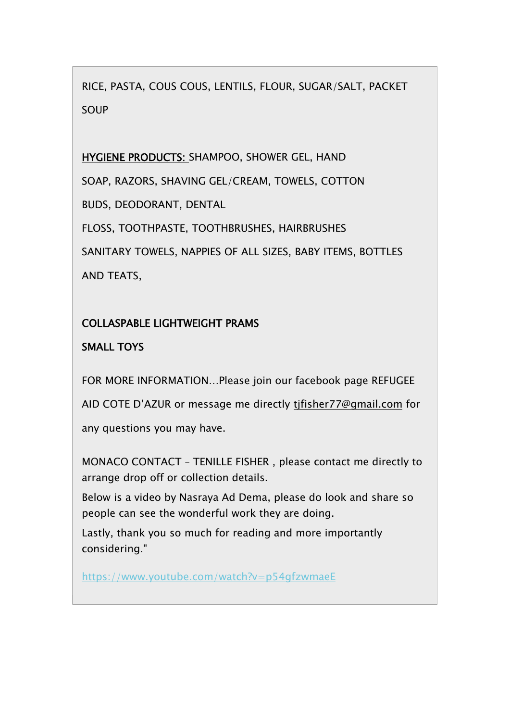RICE, PASTA, COUS COUS, LENTILS, FLOUR, SUGAR/SALT, PACKET SOUP

**HYGIENE PRODUCTS:** SHAMPOO, SHOWER GEL, HAND SOAP, RAZORS, SHAVING GEL/CREAM, TOWELS, COTTON BUDS, DEODORANT, DENTAL FLOSS, TOOTHPASTE, TOOTHBRUSHES, HAIRBRUSHES SANITARY TOWELS, NAPPIES OF ALL SIZES, BABY ITEMS, BOTTLES AND TEATS,

#### **COLLASPABLE LIGHTWEIGHT PRAMS**

#### **SMALL TOYS**

FOR MORE INFORMATION…Please join our facebook page REFUGEE AID COTE D'AZUR or message me directly tjfisher77@gmail.com for any questions you may have.

MONACO CONTACT – TENILLE FISHER , please contact me directly to arrange drop off or collection details.

Below is a video by Nasraya Ad Dema, please do look and share so people can see the wonderful work they are doing.

Lastly, thank you so much for reading and more importantly considering."

https://www.youtube.com/watch?v=p54gfzwmaeE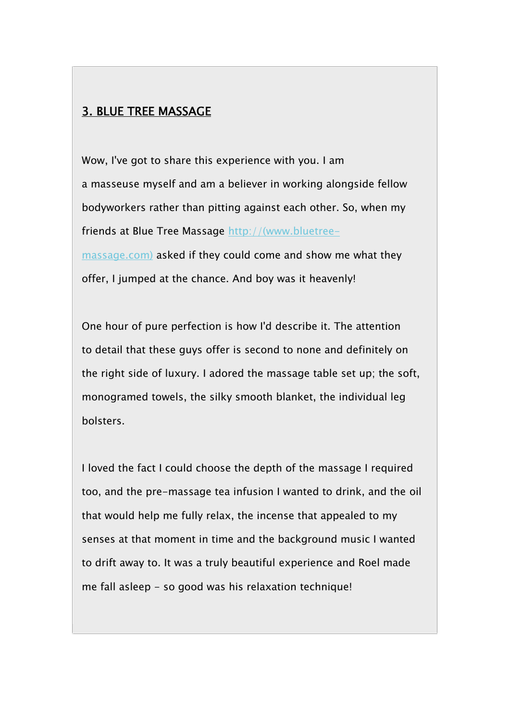#### **3. BLUE TREE MASSAGE**

Wow, I've got to share this experience with you. I am a masseuse myself and am a believer in working alongside fellow bodyworkers rather than pitting against each other. So, when my friends at Blue Tree Massage http://(www.bluetreemassage.com) asked if they could come and show me what they offer, I jumped at the chance. And boy was it heavenly!

One hour of pure perfection is how I'd describe it. The attention to detail that these guys offer is second to none and definitely on the right side of luxury. I adored the massage table set up; the soft, monogramed towels, the silky smooth blanket, the individual leg bolsters.

I loved the fact I could choose the depth of the massage I required too, and the pre-massage tea infusion I wanted to drink, and the oil that would help me fully relax, the incense that appealed to my senses at that moment in time and the background music I wanted to drift away to. It was a truly beautiful experience and Roel made me fall asleep - so good was his relaxation technique!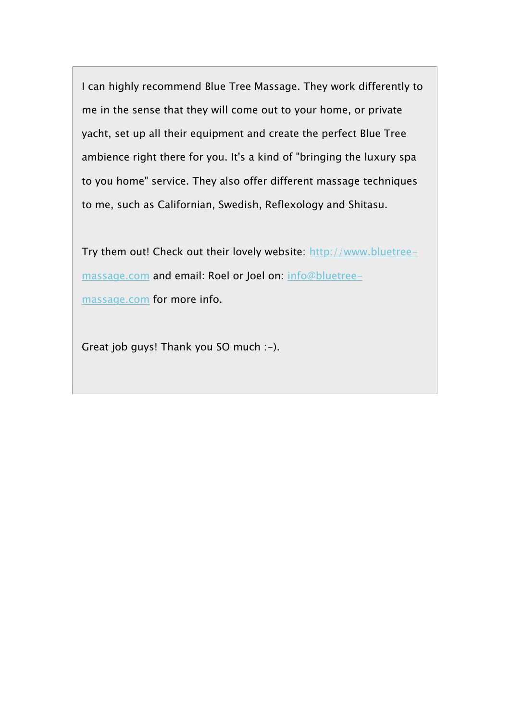I can highly recommend Blue Tree Massage. They work differently to me in the sense that they will come out to your home, or private yacht, set up all their equipment and create the perfect Blue Tree ambience right there for you. It's a kind of "bringing the luxury spa to you home" service. They also offer different massage techniques to me, such as Californian, Swedish, Reflexology and Shitasu.

Try them out! Check out their lovely website: http://www.bluetreemassage.com and email: Roel or Joel on: info@bluetreemassage.com for more info.

Great job guys! Thank you SO much :-).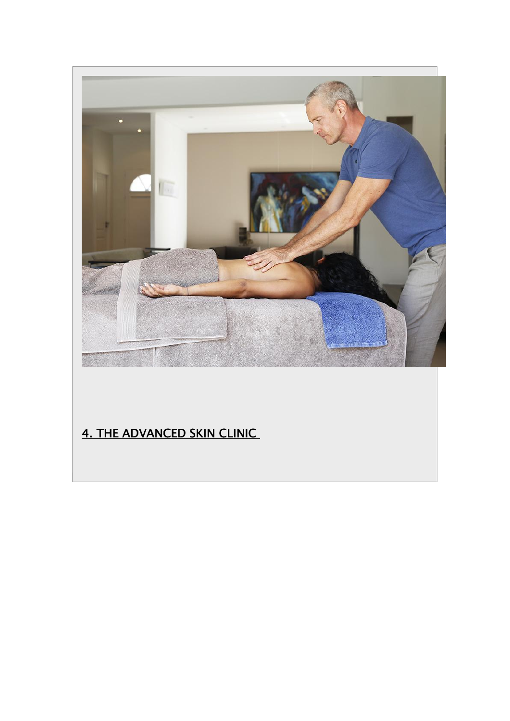

### **4. THE ADVANCED SKIN CLINIC**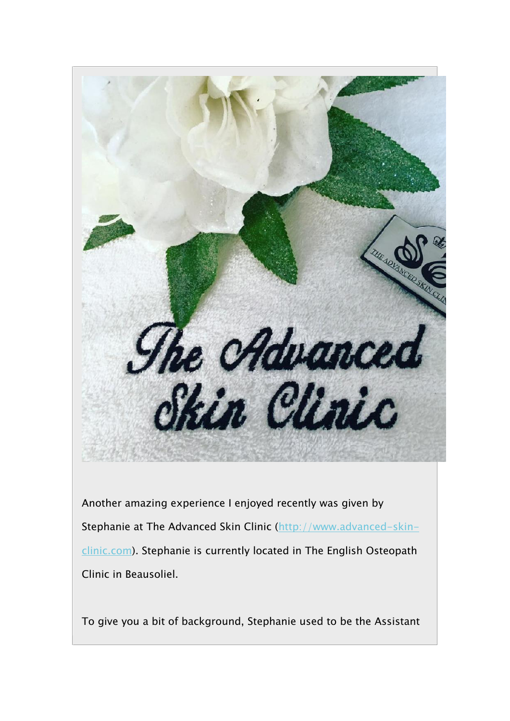

Another amazing experience I enjoyed recently was given by Stephanie at The Advanced Skin Clinic (http://www.advanced-skinclinic.com). Stephanie is currently located in The English Osteopath Clinic in Beausoliel.

To give you a bit of background, Stephanie used to be the Assistant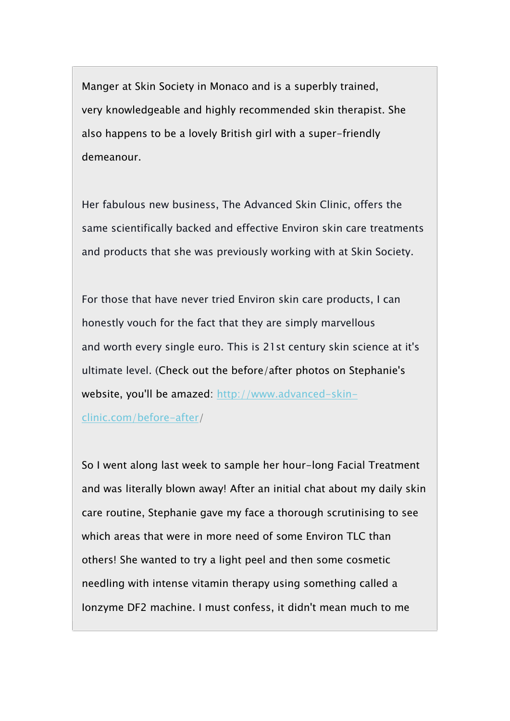Manger at Skin Society in Monaco and is a superbly trained, very knowledgeable and highly recommended skin therapist. She also happens to be a lovely British girl with a super-friendly demeanour.

Her fabulous new business, The Advanced Skin Clinic, offers the same scientifically backed and effective Environ skin care treatments and products that she was previously working with at Skin Society.

For those that have never tried Environ skin care products, I can honestly vouch for the fact that they are simply marvellous and worth every single euro. This is 21st century skin science at it's ultimate level. (Check out the before/after photos on Stephanie's website, you'll be amazed: http://www.advanced-skin-

clinic.com/before-after/

So I went along last week to sample her hour-long Facial Treatment and was literally blown away! After an initial chat about my daily skin care routine, Stephanie gave my face a thorough scrutinising to see which areas that were in more need of some Environ TLC than others! She wanted to try a light peel and then some cosmetic needling with intense vitamin therapy using something called a Ionzyme DF2 machine. I must confess, it didn't mean much to me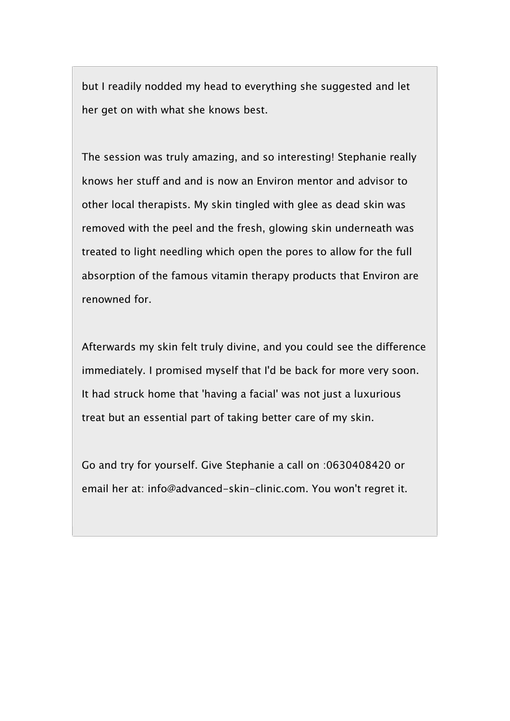but I readily nodded my head to everything she suggested and let her get on with what she knows best.

The session was truly amazing, and so interesting! Stephanie really knows her stuff and and is now an Environ mentor and advisor to other local therapists. My skin tingled with glee as dead skin was removed with the peel and the fresh, glowing skin underneath was treated to light needling which open the pores to allow for the full absorption of the famous vitamin therapy products that Environ are renowned for.

Afterwards my skin felt truly divine, and you could see the difference immediately. I promised myself that I'd be back for more very soon. It had struck home that 'having a facial' was not just a luxurious treat but an essential part of taking better care of my skin.

Go and try for yourself. Give Stephanie a call on :0630408420 or email her at: info@advanced-skin-clinic.com. You won't regret it.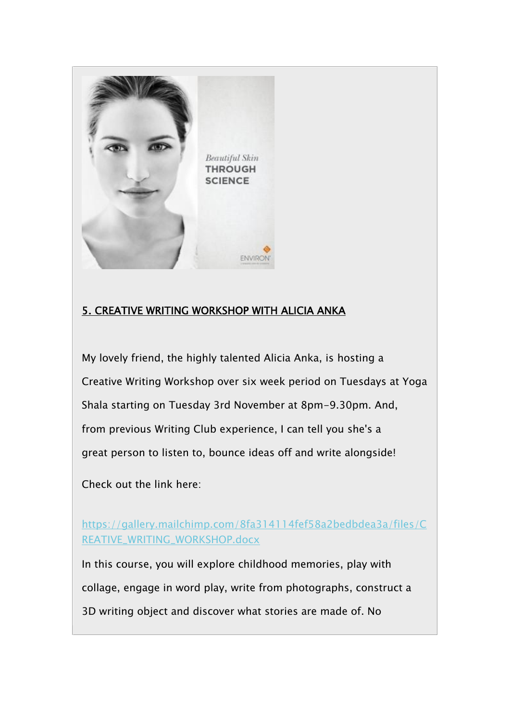

#### **5. CREATIVE WRITING WORKSHOP WITH ALICIA ANKA**

My lovely friend, the highly talented Alicia Anka, is hosting a Creative Writing Workshop over six week period on Tuesdays at Yoga Shala starting on Tuesday 3rd November at 8pm-9.30pm. And, from previous Writing Club experience, I can tell you she's a great person to listen to, bounce ideas off and write alongside!

Check out the link here:

https://gallery.mailchimp.com/8fa314114fef58a2bedbdea3a/files/C REATIVE\_WRITING\_WORKSHOP.docx

In this course, you will explore childhood memories, play with collage, engage in word play, write from photographs, construct a 3D writing object and discover what stories are made of. No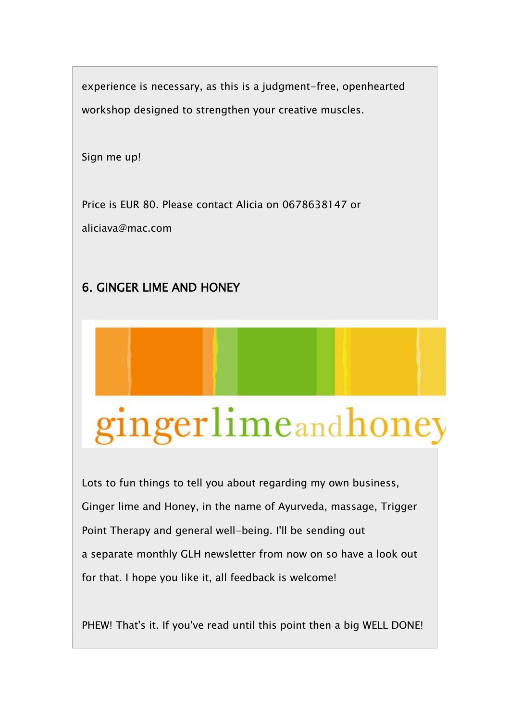experience is necessary, as this is a judgment-free, openhearted workshop designed to strengthen your creative muscles.

Sign me up!

Price is EUR 80. Please contact Alicia on 0678638147 or aliciava@mac.com

#### **6. GINGER LIME AND HONEY**

# gingerlimeandhoney

Lots to fun things to tell you about regarding my own business, Ginger lime and Honey, in the name of Ayurveda, massage, Trigger Point Therapy and general well-being. I'll be sending out a separate monthly GLH newsletter from now on so have a look out for that. I hope you like it, all feedback is welcome!

PHEW! That's it. If you've read until this point then a big WELL DONE!